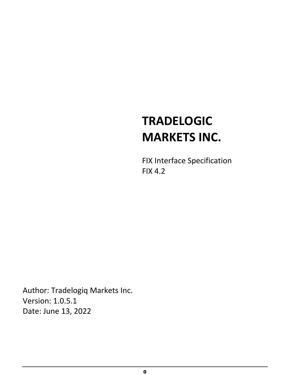# **TRADELOGIC MARKETS INC.**

FIX Interface Specification FIX 4.2

Author: Tradelogiq Markets Inc. Version: 1.0.5.1 Date: June 13, 2022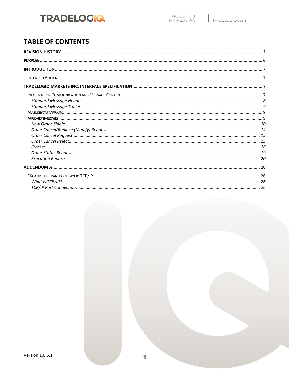### **TABLE OF CONTENTS**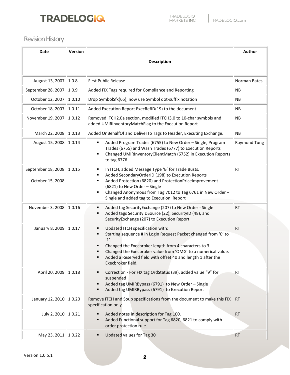### <span id="page-2-0"></span>Revision History

| <b>Date</b>                            | <b>Version</b> | <b>Description</b>                                                                                                                                                                                                                                                                                                                                 | Author              |
|----------------------------------------|----------------|----------------------------------------------------------------------------------------------------------------------------------------------------------------------------------------------------------------------------------------------------------------------------------------------------------------------------------------------------|---------------------|
| August 13, 2007                        | 1.0.8          | <b>First Public Release</b>                                                                                                                                                                                                                                                                                                                        | Norman Bates        |
| September 28, 2007                     | 1.0.9          | Added FIX Tags required for Compliance and Reporting                                                                                                                                                                                                                                                                                               | <b>NB</b>           |
| October 12, 2007                       | 1.0.10         | Drop SymbolSfx(65), now use Symbol dot-suffix notation                                                                                                                                                                                                                                                                                             | <b>NB</b>           |
| October 18, 2007                       | 1.0.11         | Added Execution Report ExecRefID(19) to the document                                                                                                                                                                                                                                                                                               | <b>NB</b>           |
| November 19, 2007                      | 1.0.12         | Removed ITCH2.0a section, modified ITCH3.0 to 10-char symbols and<br>added UMIRInventoryMatchFlag to the Execution Report                                                                                                                                                                                                                          | <b>NB</b>           |
| March 22, 2008                         | 1.0.13         | Added OnBehalfOf and DeliverTo Tags to Header, Executing Exchange.                                                                                                                                                                                                                                                                                 | <b>NB</b>           |
| August 15, 2008                        | 1.0.14         | Added Program Trades (6755) to New Order - Single, Program<br>٠<br>Trades (6755) and Wash Trades (6777) to Execution Reports<br>Changed UMIRInventoryClientMatch (6752) in Execution Reports<br>٠<br>to tag 6776                                                                                                                                   | <b>Raymond Tung</b> |
| September 18, 2008<br>October 15, 2008 | 1.0.15         | In ITCH, added Message Type 'B' for Trade Busts.<br>٠<br>Added SecondaryOrderID (198) to Execution Reports<br>٠<br>Added Protection (6820) and ProtectionPriceImprovement<br>٠<br>(6821) to New Order - Single<br>Changed Anonymous from Tag 7012 to Tag 6761 in New Order -<br>٠<br>Single and added tag to Execution Report                      | <b>RT</b>           |
| November 3, 2008                       | 1.0.16         | Added tag SecurityExchange (207) to New Order - Single<br>٠<br>Added tags SecurityIDSource (22), SecurityID (48), and<br>٠<br>SecurityExchange (207) to Execution Report                                                                                                                                                                           | <b>RT</b>           |
| January 8, 2009                        | 1.0.17         | Updated ITCH specification with:<br>٠<br>Starting sequence # in Login Request Packet changed from '0' to<br>٠<br>1'.<br>Changed the Execbroker length from 4 characters to 3.<br>٠<br>Changed the Execbroker value from 'OMG' to a numerical value.<br>٠<br>Added a Reserved field with offset 40 and length 1 after the<br>٠<br>Execbroker field. | <b>RT</b>           |
| April 20, 2009                         | 1.0.18         | Correction - For FIX tag OrdStatus (39), added value "9" for<br>٠<br>suspended<br>Added tag UMIRBypass (6791) to New Order - Single<br>٠<br>Added tag UMIRBypass (6791) to Execution Report<br>٠                                                                                                                                                   | <b>RT</b>           |
| January 12, 2010                       | 1.0.20         | Remove ITCH and Soup specifications from the document to make this FIX<br>specification only.                                                                                                                                                                                                                                                      | <b>RT</b>           |
| July 2, 2010                           | 1.0.21         | Added notes in description for Tag 100.<br>٠<br>Added Functional support for Tag 6820, 6821 to comply with<br>٠<br>order protection rule.                                                                                                                                                                                                          | <b>RT</b>           |
| May 23, 2011                           | 1.0.22         | Updated values for Tag 30<br>٠                                                                                                                                                                                                                                                                                                                     | <b>RT</b>           |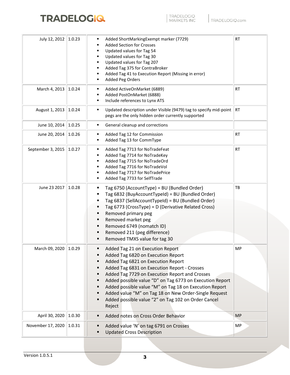

| July 12, 2012 1.0.23  |        | Added ShortMarkingExempt marker (7729)<br>٠<br><b>Added Section for Crosses</b><br>٠<br>Updated values for Tag 54<br>٠<br>Updated values for Tag 30<br>٠<br>Updated values for Tag 207<br>٠<br>Added Tag 375 for ContraBroker<br>٠<br>Added Tag 41 to Execution Report (Missing in error)<br>٠<br><b>Added Peg Orders</b><br>٠                                                                                                                                                                                           | <b>RT</b> |
|-----------------------|--------|--------------------------------------------------------------------------------------------------------------------------------------------------------------------------------------------------------------------------------------------------------------------------------------------------------------------------------------------------------------------------------------------------------------------------------------------------------------------------------------------------------------------------|-----------|
| March 4, 2013 1.0.24  |        | Added ActiveOnMarket (6889)<br>٠<br>Added PostOnMarket (6888)<br>Include references to Lynx ATS<br>٠                                                                                                                                                                                                                                                                                                                                                                                                                     | <b>RT</b> |
| August 1, 2013        | 1.0.24 | Updated description under Visible (9479) tag to specify mid-point<br>٠<br>pegs are the only hidden order currently supported                                                                                                                                                                                                                                                                                                                                                                                             | <b>RT</b> |
| June 10, 2014         | 1.0.25 | General cleanup and corrections<br>٠                                                                                                                                                                                                                                                                                                                                                                                                                                                                                     |           |
| June 20, 2014         | 1.0.26 | Added Tag 12 for Commission<br>٠<br>Added Tag 13 for CommType<br>٠                                                                                                                                                                                                                                                                                                                                                                                                                                                       | <b>RT</b> |
| September 3, 2015     | 1.0.27 | Added Tag 7713 for NoTradeFeat<br>٠<br>Added Tag 7714 for NoTradeKey<br>٠<br>Added Tag 7715 for NoTradeOrd<br>٠<br>Added Tag 7716 for NoTradeVol<br>٠<br>Added Tag 7717 for NoTradePrice<br>٠<br>Added Tag 7733 for SelfTrade<br>٠                                                                                                                                                                                                                                                                                       | <b>RT</b> |
| June 23 2017          | 1.0.28 | Tag 6750 (AccountType) = BU (Bundled Order)<br>٠<br>Tag 6832 (BuyAccountTypeId) = BU (Bundled Order)<br>Tag 6837 (SellAccountTypeId) = BU (Bundled Order)<br>٠<br>Tag 6773 (CrossType) = D (Derivative Related Cross)<br>٠<br>Removed primary peg<br>٠<br>Removed market peg<br>٠<br>Removed 6749 (nomatch ID)<br>٠<br>Removed 211 (peg difference)<br>٠<br>Removed TMXS value for tag 30<br>٠                                                                                                                           | ТB        |
| March 09, 2020 1.0.29 |        | Added Tag 21 on Execution Report<br>٠<br>Added Tag 6820 on Execution Report<br>٠<br>Added Tag 6821 on Execution Report<br>٠<br>Added Tag 6831 on Execution Report - Crosses<br>٠<br>Added Tag 7729 on Execution Report and Crosses<br>$\blacksquare$<br>Added possible value "D" on Tag 6773 on Execution Report<br>п<br>Added possible value "M" on Tag 18 on Execution Report<br>٠<br>Added value "M" on Tag 18 on New Order-Single Request<br>п<br>Added possible value "2" on Tag 102 on Order Cancel<br>٠<br>Reject | <b>MP</b> |
| April 30, 2020        | 1.0.30 | Added notes on Cross Order Behavior<br>٠                                                                                                                                                                                                                                                                                                                                                                                                                                                                                 | <b>MP</b> |
| November 17, 2020     | 1.0.31 | Added value 'N' on tag 6791 on Crosses<br>п<br><b>Updated Cross Description</b><br>٠                                                                                                                                                                                                                                                                                                                                                                                                                                     | <b>MP</b> |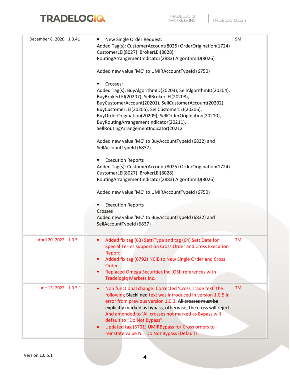| December 8, 2020   1.0.41 |       | New Single Order Request:<br>٠<br>Added Tag(s): CustomerAccount(8025) OrderOrigination(1724)<br>CustomerLEI(8027) BrokerLEI(8028)<br>RoutingArrangementIndicator(2883) AlgorithmID(8026)<br>Added new value 'MC' to UMIRAccountTypeId (6750)<br>Crosses:<br>Added Tag(s): BuyAlgorithmID(20203), SellAlgorithmID(20204),<br>BuyBrokerLEI(20207), SellBrokerLEI(20208),<br>BuyCustomerAccount(20201), SellCustomerAccount(20202),<br>BuyCustomerLEI(20205), SellCustomerLEI(20206),<br>BuyOrderOrigination(20209), SellOrderOrigination(20210),<br>BuyRoutingArrangementIndicator(20211),<br>SellRoutingArrangementIndicator(20212<br>Added new value 'MC' to BuyAccountTypeId (6832) and<br>SellAccountTypeId (6837)<br><b>Execution Reports</b><br>Added Tag(s): CustomerAccount(8025) OrderOrigination(1724)<br>CustomerLEI(8027) BrokerLEI(8028)<br>RoutingArrangementIndicator(2883) AlgorithmID(8026)<br>Added new value 'MC' to UMIRAccountTypeId (6750)<br><b>Execution Reports</b><br>٠<br>Crosses<br>Added new value 'MC' to BuyAccountTypeId (6832) and<br>SellAccountTypeId (6837) | SM         |
|---------------------------|-------|-----------------------------------------------------------------------------------------------------------------------------------------------------------------------------------------------------------------------------------------------------------------------------------------------------------------------------------------------------------------------------------------------------------------------------------------------------------------------------------------------------------------------------------------------------------------------------------------------------------------------------------------------------------------------------------------------------------------------------------------------------------------------------------------------------------------------------------------------------------------------------------------------------------------------------------------------------------------------------------------------------------------------------------------------------------------------------------------------|------------|
| April 20, 2022            | 1.0.5 | Added fix tag (63) SettlType and tag (64) SettlDate for<br>Special Terms support on Cross Order and Cross Execution<br>Report<br>Added fix tag (6792) NCIB to New Single Order and Cross<br>Order<br>Replaced Omega Securities Inc (OSI) references with<br>п<br><b>Tradelogiq Markets Inc.</b>                                                                                                                                                                                                                                                                                                                                                                                                                                                                                                                                                                                                                                                                                                                                                                                               | <b>TMI</b> |
| June 13, 2022   1.0.5.1   |       | Non functional change: Corrected 'Cross Trade text' the<br>following Blacklined text was introduced in version 1.0.5 in<br>error from previous version 1.0.3. All crosses must be<br>explicitly marked as bypass, otherwise, the cross will reject.<br>And amended to 'All crosses not marked as Bypass will<br>default to "Do Not Bypass".<br>Updated tag (6791) UMIRBypass for Cross orders to<br>$\bullet$<br>reinstate value $N = Do$ Not Bypass (Default)                                                                                                                                                                                                                                                                                                                                                                                                                                                                                                                                                                                                                                | <b>TMI</b> |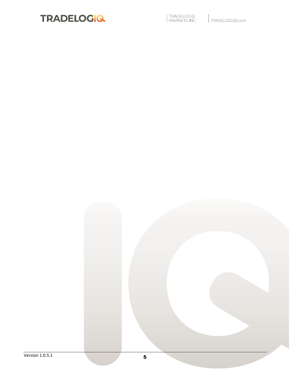

TRADELOGIQ<br>MARKETS INC

TRADELOGIQ.com

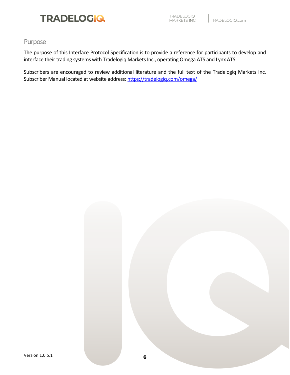

TRADELOGIQ<br>MARKETS INC

#### <span id="page-6-0"></span>Purpose

The purpose of this Interface Protocol Specification is to provide a reference for participants to develop and interface their trading systems with Tradelogiq Markets Inc., operating Omega ATS and Lynx ATS.

Subscribers are encouraged to review additional literature and the full text of the Tradelogiq Markets Inc. Subscriber Manual located at website address:<https://tradelogiq.com/omega/>

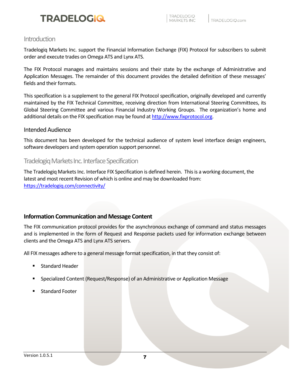

### <span id="page-7-0"></span>**Introduction**

Tradelogiq Markets Inc. support the Financial Information Exchange (FIX) Protocol for subscribers to submit order and execute trades on Omega ATS and Lynx ATS.

The FIX Protocol manages and maintains sessions and their state by the exchange of Administrative and Application Messages. The remainder of this document provides the detailed definition of these messages' fields and their formats.

This specification is a supplement to the general FIX Protocol specification, originally developed and currently maintained by the FIX Technical Committee, receiving direction from International Steering Committees, its Global Steering Committee and various Financial Industry Working Groups. The organization's home and additional details on the FIX specification may be found a[t http://www.fixprotocol.org.](http://www.fixprotocol.org/)

#### <span id="page-7-1"></span>Intended Audience

This document has been developed for the technical audience of system level interface design engineers, software developers and system operation support personnel.

<span id="page-7-2"></span>Tradelogiq Markets Inc.Interface Specification

The Tradelogiq Markets Inc. Interface FIX Specification is defined herein. This is a working document, the latest and most recent Revision of which is online and may be downloaded from: <https://tradelogiq.com/connectivity/>

### <span id="page-7-3"></span>**Information Communication and Message Content**

The FIX communication protocol provides for the asynchronous exchange of command and status messages and is implemented in the form of Request and Response packets used for information exchange between clients and the Omega ATS and Lynx ATS servers.

All FIX messages adhere to a general message format specification, in that they consist of:

- Standard Header
- Specialized Content (Request/Response) of an Administrative or Application Message
- **Standard Footer**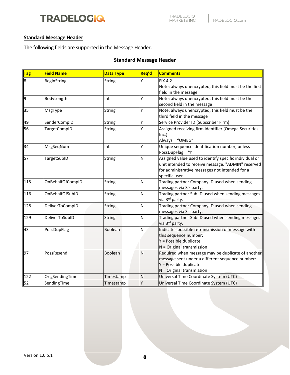### <span id="page-8-0"></span>**Standard Message Header**

The following fields are supported in the Message Header.

#### **Standard Message Header**

| <b>Tag</b> | <b>Field Name</b> | <b>Data Type</b> | Req'd | <b>Comments</b>                                                                                                                                                                  |
|------------|-------------------|------------------|-------|----------------------------------------------------------------------------------------------------------------------------------------------------------------------------------|
| 8          | BeginString       | <b>String</b>    | Υ     | <b>FIX.4.2</b><br>Note: always unencrypted, this field must be the first<br>field in the message                                                                                 |
| 9          | BodyLength        | Int              | Y     | Note: always unencrypted, this field must be the<br>second field in the message                                                                                                  |
| 35         | MsgType           | <b>String</b>    | Y     | Note: always unencrypted, this field must be the<br>third field in the message                                                                                                   |
| 49         | SenderCompID      | <b>String</b>    | Y     | Service Provider ID (Subscriber Firm)                                                                                                                                            |
| 56         | TargetCompID      | <b>String</b>    | Y     | Assigned receiving firm identifier (Omega Securities<br>$Inc.$ ):<br>Always = "OMEG"                                                                                             |
| 34         | MsgSeqNum         | Int              | Υ     | Unique sequence identification number, unless<br>PossDupFlag = 'Y'                                                                                                               |
| 57         | TargetSubID       | <b>String</b>    | N     | Assigned value used to identify specific individual or<br>unit intended to receive message. "ADMIN" reserved<br>for administrative messages not intended for a<br>specific user. |
| 115        | OnBehalfOfCompID  | String           | N     | Trading partner Company ID used when sending<br>messages via 3rd party.                                                                                                          |
| 116        | OnBehalfOfSubID   | String           | N     | Trading partner Sub ID used when sending messages<br>via 3rd party.                                                                                                              |
| 128        | DeliverToCompID   | <b>String</b>    | Ν     | Trading partner Company ID used when sending<br>messages via 3 <sup>rd</sup> party.                                                                                              |
| 129        | DeliverToSubID    | String           | N     | Trading partner Sub ID used when sending messages<br>via 3 <sup>rd</sup> party.                                                                                                  |
| 43         | PossDupFlag       | Boolean          | N     | Indicates possible retransmission of message with<br>this sequence number:<br>Y = Possible duplicate<br>N = Original transmission                                                |
| 97         | PossResend        | Boolean          | N     | Required when message may be duplicate of another<br>message sent under a different sequence number:<br>$Y = Possible duplicate$<br>$N =$ Original transmission                  |
| 122        | OrigSendingTime   | Timestamp        | Ν     | Universal Time Coordinate System (UTC)                                                                                                                                           |
| 52         | SendingTime       | Timestamp        | Υ     | Universal Time Coordinate System (UTC)                                                                                                                                           |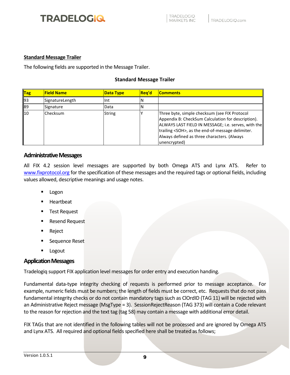# **TRADELOGIA**

#### <span id="page-9-0"></span>**Standard Message Trailer**

The following fields are supported in the Message Trailer.

#### **Standard Message Trailer**

| $\ $ Tag | <b>Field Name</b> | <b>Data Type</b> | Rea'd | <b>Comments</b>                                                                                                                                                                                                                                                                       |
|----------|-------------------|------------------|-------|---------------------------------------------------------------------------------------------------------------------------------------------------------------------------------------------------------------------------------------------------------------------------------------|
| 93       | SignatureLength   | Int              |       |                                                                                                                                                                                                                                                                                       |
| 89       | Signature         | Data             | N     |                                                                                                                                                                                                                                                                                       |
| 10       | Checksum          | <b>String</b>    |       | Three byte, simple checksum (see FIX Protocol<br>Appendix B: CheckSum Calculation for description).<br>ALWAYS LAST FIELD IN MESSAGE; i.e. serves, with the<br>trailing <soh>, as the end-of-message delimiter.<br/>Always defined as three characters. (Always<br/>unencrypted)</soh> |

#### <span id="page-9-1"></span>**Administrative Messages**

All FIX 4.2 session level messages are supported by both Omega ATS and Lynx ATS. Refer to [www.fixprotocol.org](file:///C:/Users/steve.menchions/AppData/Local/Microsoft/Windows/INetCache/AppData/Local/Microsoft/Windows/INetCache/Content.Outlook/AppData/Local/Microsoft/Windows/INetCache/Content.Outlook/AppData/Local/Microsoft/Documents%20and%20Settings/rtung/Local%20Settings/Temporary%20Internet%20Files/OLK5E/www.fixprotocol.org) for the specification of these messages and the required tags or optional fields, including values allowed, descriptive meanings and usage notes.

- Logon
- **Heartbeat**
- **Test Request**
- **Resend Request**
- **Reject**
- Sequence Reset
- **Logout**

#### <span id="page-9-2"></span>**Application Messages**

Tradelogiq support FIX application level messages for order entry and execution handing.

Fundamental data-type integrity checking of requests is performed prior to message acceptance. For example, numeric fields must be numbers; the length of fields must be correct, etc. Requests that do not pass fundamental integrity checks or do not contain mandatory tags such as ClOrdID (TAG 11) will be rejected with an Administrative Reject message (MsgType = 3). SessionRejectReason (TAG 373) will contain a Code relevant to the reason for rejection and the text tag (tag 58) may contain a message with additional error detail.

FIX TAGs that are not identified in the following tables will not be processed and are ignored by Omega ATS and Lynx ATS. All required and optional fields specified here shall be treated as follows;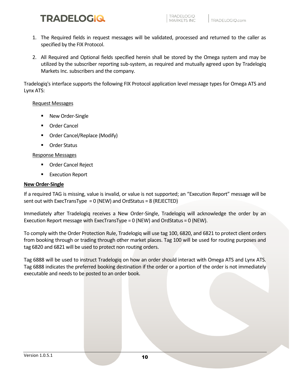- 1. The Required fields in request messages will be validated, processed and returned to the caller as specified by the FIX Protocol.
- 2. All Required and Optional fields specified herein shall be stored by the Omega system and may be utilized by the subscriber reporting sub-system, as required and mutually agreed upon by Tradelogiq Markets Inc. subscribers and the company.

Tradelogiq's interface supports the following FIX Protocol application level message types for Omega ATS and Lynx ATS:

#### Request Messages

- New Order-Single
- Order Cancel
- Order Cancel/Replace (Modify)
- Order Status

#### Response Messages

- Order Cancel Reject
- Execution Report

#### <span id="page-10-0"></span>**New Order-Single**

If a required TAG is missing, value is invalid, or value is not supported; an "Execution Report" message will be sent out with ExecTransType = 0 (NEW) and OrdStatus = 8 (REJECTED)

Immediately after Tradelogiq receives a New Order-Single, Tradelogiq will acknowledge the order by an Execution Report message with ExecTransType = 0 (NEW) and OrdStatus = 0 (NEW).

To comply with the Order Protection Rule, Tradelogiq will use tag 100, 6820, and 6821 to protect client orders from booking through or trading through other market places. Tag 100 will be used for routing purposes and tag 6820 and 6821 will be used to protect non routing orders.

Tag 6888 will be used to instruct Tradelogiq on how an order should interact with Omega ATS and Lynx ATS. Tag 6888 indicates the preferred booking destination if the order or a portion of the order is not immediately executable and needs to be posted to an order book.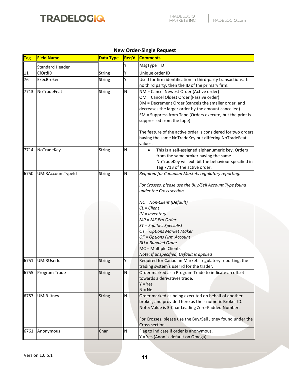

|  | <b>New Order-Single Request</b> |  |
|--|---------------------------------|--|
|--|---------------------------------|--|

| <b>Tag</b> | <b>Field Name</b>      | <b>Data Type</b> | Req'd     | <b>Comments</b>                                                                                                                                                                                                                                                                                                                                                                                                                 |
|------------|------------------------|------------------|-----------|---------------------------------------------------------------------------------------------------------------------------------------------------------------------------------------------------------------------------------------------------------------------------------------------------------------------------------------------------------------------------------------------------------------------------------|
|            | <b>Standard Header</b> |                  | Υ         | $MsgType = D$                                                                                                                                                                                                                                                                                                                                                                                                                   |
| 11         | ClOrdID                | String           | Υ         | Unique order ID                                                                                                                                                                                                                                                                                                                                                                                                                 |
| 76         | ExecBroker             | <b>String</b>    | Y         | Used for firm identification in third-party transactions. If<br>no third party, then the ID of the primary firm.                                                                                                                                                                                                                                                                                                                |
| 7713       | NoTradeFeat            | <b>String</b>    | ${\sf N}$ | NM = Cancel Newest Order (Active order)<br>OM = Cancel Oldest Order (Passive order)<br>DM = Decrement Order (cancels the smaller order, and<br>decreases the larger order by the amount cancelled)<br>EM = Suppress from Tape (Orders execute, but the print is<br>suppressed from the tape)<br>The feature of the active order is considered for two orders<br>having the same NoTradeKey but differing NoTradeFeat<br>values. |
| 7714       | NoTradeKey             | <b>String</b>    | N         | This is a self-assigned alphanumeric key. Orders<br>$\bullet$<br>from the same broker having the same<br>NoTradeKey will exhibit the behaviour specified in<br>Tag 7713 of the active order.                                                                                                                                                                                                                                    |
| 6750       | UMIRAccountTypeId      | <b>String</b>    | N         | Required for Canadian Markets regulatory reporting.<br>For Crosses, please use the Buy/Sell Account Type found<br>under the Cross section.<br>NC = Non-Client (Default)<br>$CL = Client$<br>$IN = Inventory$<br>MP = ME Pro Order<br>ST = Equities Specialist<br>OT = Options Market Maker<br>OF = Options Firm Account<br><b>BU</b> = Bundled Order<br>MC = Multiple Clients<br>Note: If unspecified, Default is applied       |
| 6751       | UMIRUserId             | <b>String</b>    | Y         | Required for Canadian Markets regulatory reporting, the<br>trading system's user id for the trader.                                                                                                                                                                                                                                                                                                                             |
| 6755       | Program Trade          | <b>String</b>    | N         | Order marked as a Program Trade to indicate an offset<br>towards a derivatives trade.<br>$Y = Yes$<br>$N = No$                                                                                                                                                                                                                                                                                                                  |
| 6757       | UMIRJitney             | <b>String</b>    | Ν         | Order marked as being executed on behalf of another<br>broker, and provided here as their numeric Broker ID.<br>Note: Value is 3-Char Leading Zero-Padded Number.<br>For Crosses, please use the Buy/Sell Jitney found under the<br>Cross section.                                                                                                                                                                              |
| 6761       | Anonymous              | Char             | N         | Flag to indicate if order is anonymous.<br>Y = Yes (Anon is default on Omega)                                                                                                                                                                                                                                                                                                                                                   |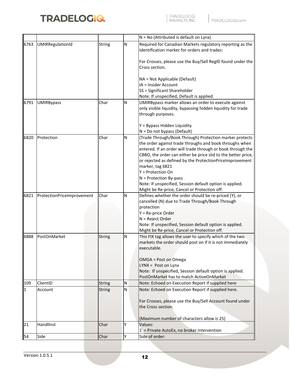

| Required for Canadian Markets regulatory reporting as the<br>UMIRRegulationId<br>N<br><b>String</b><br>Identification marker for orders and trades:<br>Cross section.<br>NA = Not Applicable (Default)<br>IA = Insider Account<br>SS = Significant Shareholder<br>Note: If unspecified, Default is applied.<br>Char<br>N<br>UMIRBypass marker allows an order to execute against<br><b>UMIRBypass</b><br>only visible liquidity, bypassing hidden liquidity for trade<br>through purposes.<br>Y = Bypass Hidden Liquidity<br>$N = Do$ not bypass (Default)<br>(Trade Through/Book Through) Protection marker protects<br>6820<br>Protection<br>Char<br>Ν<br>the order against trade throughs and book throughs when<br>entered. If an order will trade through or book through the<br>CBBO, the order can either be price slid to the better price,<br>or rejected as defined by the ProtectionPriceImprovement<br>marker, tag 6821<br>Y = Protection On<br>$N =$ Protection By-pass<br>Note: If unspecified, Session default option is applied.<br>Might be Re-price, Cancel or Protection off.<br>Char<br>N<br>Defines whether the order should be re-priced (Y), or<br>ProtectionPriceImprovement<br>cancelled (N) due to Trade Through/Book Through<br>protection<br>$Y = Re$ -price Order<br>N = Reject Order<br>Note: If unspecified, Session default option is applied.<br>Might be Re-price, Cancel or Protection off.<br>This FIX tag allows the user to specify which of the two<br>6888<br>PostOnMarket<br>N<br>String<br>markets the order should post on if it is not immediately<br>executable.<br>OMGA = Post on Omega<br>$LYNX = Post on Lynx$<br>Note: If unspecified, Session default option is applied.<br>PostOnMarket has to match ActiveOnMarket<br>109<br>N<br>Note: Echoed on Execution Report if supplied here<br>ClientID<br><b>String</b><br>Note: Echoed on Execution Report if supplied here.<br>$\mathbf{1}$<br>N<br><b>String</b><br>Account<br>For Crosses, please use the Buy/Sell Account found under<br>the Cross section.<br>(Maximum number of characters allow is 25)<br>Υ<br>21<br>HandlInst<br>Values:<br>Char<br>$1$ = Private AutoEx, no broker intervention<br>Side<br>Char<br>Υ<br>Side of order: |      |  | $N = No$ (Attributed is default on Lynx)                   |
|-----------------------------------------------------------------------------------------------------------------------------------------------------------------------------------------------------------------------------------------------------------------------------------------------------------------------------------------------------------------------------------------------------------------------------------------------------------------------------------------------------------------------------------------------------------------------------------------------------------------------------------------------------------------------------------------------------------------------------------------------------------------------------------------------------------------------------------------------------------------------------------------------------------------------------------------------------------------------------------------------------------------------------------------------------------------------------------------------------------------------------------------------------------------------------------------------------------------------------------------------------------------------------------------------------------------------------------------------------------------------------------------------------------------------------------------------------------------------------------------------------------------------------------------------------------------------------------------------------------------------------------------------------------------------------------------------------------------------------------------------------------------------------------------------------------------------------------------------------------------------------------------------------------------------------------------------------------------------------------------------------------------------------------------------------------------------------------------------------------------------------------------------------------------------------------------------------------------------------------------------|------|--|------------------------------------------------------------|
|                                                                                                                                                                                                                                                                                                                                                                                                                                                                                                                                                                                                                                                                                                                                                                                                                                                                                                                                                                                                                                                                                                                                                                                                                                                                                                                                                                                                                                                                                                                                                                                                                                                                                                                                                                                                                                                                                                                                                                                                                                                                                                                                                                                                                                               | 6763 |  |                                                            |
|                                                                                                                                                                                                                                                                                                                                                                                                                                                                                                                                                                                                                                                                                                                                                                                                                                                                                                                                                                                                                                                                                                                                                                                                                                                                                                                                                                                                                                                                                                                                                                                                                                                                                                                                                                                                                                                                                                                                                                                                                                                                                                                                                                                                                                               |      |  | For Crosses, please use the Buy/Sell RegID found under the |
|                                                                                                                                                                                                                                                                                                                                                                                                                                                                                                                                                                                                                                                                                                                                                                                                                                                                                                                                                                                                                                                                                                                                                                                                                                                                                                                                                                                                                                                                                                                                                                                                                                                                                                                                                                                                                                                                                                                                                                                                                                                                                                                                                                                                                                               |      |  |                                                            |
|                                                                                                                                                                                                                                                                                                                                                                                                                                                                                                                                                                                                                                                                                                                                                                                                                                                                                                                                                                                                                                                                                                                                                                                                                                                                                                                                                                                                                                                                                                                                                                                                                                                                                                                                                                                                                                                                                                                                                                                                                                                                                                                                                                                                                                               |      |  |                                                            |
|                                                                                                                                                                                                                                                                                                                                                                                                                                                                                                                                                                                                                                                                                                                                                                                                                                                                                                                                                                                                                                                                                                                                                                                                                                                                                                                                                                                                                                                                                                                                                                                                                                                                                                                                                                                                                                                                                                                                                                                                                                                                                                                                                                                                                                               |      |  |                                                            |
|                                                                                                                                                                                                                                                                                                                                                                                                                                                                                                                                                                                                                                                                                                                                                                                                                                                                                                                                                                                                                                                                                                                                                                                                                                                                                                                                                                                                                                                                                                                                                                                                                                                                                                                                                                                                                                                                                                                                                                                                                                                                                                                                                                                                                                               |      |  |                                                            |
|                                                                                                                                                                                                                                                                                                                                                                                                                                                                                                                                                                                                                                                                                                                                                                                                                                                                                                                                                                                                                                                                                                                                                                                                                                                                                                                                                                                                                                                                                                                                                                                                                                                                                                                                                                                                                                                                                                                                                                                                                                                                                                                                                                                                                                               | 6791 |  |                                                            |
|                                                                                                                                                                                                                                                                                                                                                                                                                                                                                                                                                                                                                                                                                                                                                                                                                                                                                                                                                                                                                                                                                                                                                                                                                                                                                                                                                                                                                                                                                                                                                                                                                                                                                                                                                                                                                                                                                                                                                                                                                                                                                                                                                                                                                                               |      |  |                                                            |
|                                                                                                                                                                                                                                                                                                                                                                                                                                                                                                                                                                                                                                                                                                                                                                                                                                                                                                                                                                                                                                                                                                                                                                                                                                                                                                                                                                                                                                                                                                                                                                                                                                                                                                                                                                                                                                                                                                                                                                                                                                                                                                                                                                                                                                               |      |  |                                                            |
|                                                                                                                                                                                                                                                                                                                                                                                                                                                                                                                                                                                                                                                                                                                                                                                                                                                                                                                                                                                                                                                                                                                                                                                                                                                                                                                                                                                                                                                                                                                                                                                                                                                                                                                                                                                                                                                                                                                                                                                                                                                                                                                                                                                                                                               |      |  |                                                            |
|                                                                                                                                                                                                                                                                                                                                                                                                                                                                                                                                                                                                                                                                                                                                                                                                                                                                                                                                                                                                                                                                                                                                                                                                                                                                                                                                                                                                                                                                                                                                                                                                                                                                                                                                                                                                                                                                                                                                                                                                                                                                                                                                                                                                                                               | 6821 |  |                                                            |
|                                                                                                                                                                                                                                                                                                                                                                                                                                                                                                                                                                                                                                                                                                                                                                                                                                                                                                                                                                                                                                                                                                                                                                                                                                                                                                                                                                                                                                                                                                                                                                                                                                                                                                                                                                                                                                                                                                                                                                                                                                                                                                                                                                                                                                               |      |  |                                                            |
|                                                                                                                                                                                                                                                                                                                                                                                                                                                                                                                                                                                                                                                                                                                                                                                                                                                                                                                                                                                                                                                                                                                                                                                                                                                                                                                                                                                                                                                                                                                                                                                                                                                                                                                                                                                                                                                                                                                                                                                                                                                                                                                                                                                                                                               |      |  |                                                            |
|                                                                                                                                                                                                                                                                                                                                                                                                                                                                                                                                                                                                                                                                                                                                                                                                                                                                                                                                                                                                                                                                                                                                                                                                                                                                                                                                                                                                                                                                                                                                                                                                                                                                                                                                                                                                                                                                                                                                                                                                                                                                                                                                                                                                                                               |      |  |                                                            |
|                                                                                                                                                                                                                                                                                                                                                                                                                                                                                                                                                                                                                                                                                                                                                                                                                                                                                                                                                                                                                                                                                                                                                                                                                                                                                                                                                                                                                                                                                                                                                                                                                                                                                                                                                                                                                                                                                                                                                                                                                                                                                                                                                                                                                                               |      |  |                                                            |
|                                                                                                                                                                                                                                                                                                                                                                                                                                                                                                                                                                                                                                                                                                                                                                                                                                                                                                                                                                                                                                                                                                                                                                                                                                                                                                                                                                                                                                                                                                                                                                                                                                                                                                                                                                                                                                                                                                                                                                                                                                                                                                                                                                                                                                               |      |  |                                                            |
|                                                                                                                                                                                                                                                                                                                                                                                                                                                                                                                                                                                                                                                                                                                                                                                                                                                                                                                                                                                                                                                                                                                                                                                                                                                                                                                                                                                                                                                                                                                                                                                                                                                                                                                                                                                                                                                                                                                                                                                                                                                                                                                                                                                                                                               |      |  |                                                            |
|                                                                                                                                                                                                                                                                                                                                                                                                                                                                                                                                                                                                                                                                                                                                                                                                                                                                                                                                                                                                                                                                                                                                                                                                                                                                                                                                                                                                                                                                                                                                                                                                                                                                                                                                                                                                                                                                                                                                                                                                                                                                                                                                                                                                                                               |      |  |                                                            |
|                                                                                                                                                                                                                                                                                                                                                                                                                                                                                                                                                                                                                                                                                                                                                                                                                                                                                                                                                                                                                                                                                                                                                                                                                                                                                                                                                                                                                                                                                                                                                                                                                                                                                                                                                                                                                                                                                                                                                                                                                                                                                                                                                                                                                                               |      |  |                                                            |
|                                                                                                                                                                                                                                                                                                                                                                                                                                                                                                                                                                                                                                                                                                                                                                                                                                                                                                                                                                                                                                                                                                                                                                                                                                                                                                                                                                                                                                                                                                                                                                                                                                                                                                                                                                                                                                                                                                                                                                                                                                                                                                                                                                                                                                               |      |  |                                                            |
|                                                                                                                                                                                                                                                                                                                                                                                                                                                                                                                                                                                                                                                                                                                                                                                                                                                                                                                                                                                                                                                                                                                                                                                                                                                                                                                                                                                                                                                                                                                                                                                                                                                                                                                                                                                                                                                                                                                                                                                                                                                                                                                                                                                                                                               |      |  |                                                            |
|                                                                                                                                                                                                                                                                                                                                                                                                                                                                                                                                                                                                                                                                                                                                                                                                                                                                                                                                                                                                                                                                                                                                                                                                                                                                                                                                                                                                                                                                                                                                                                                                                                                                                                                                                                                                                                                                                                                                                                                                                                                                                                                                                                                                                                               |      |  |                                                            |
|                                                                                                                                                                                                                                                                                                                                                                                                                                                                                                                                                                                                                                                                                                                                                                                                                                                                                                                                                                                                                                                                                                                                                                                                                                                                                                                                                                                                                                                                                                                                                                                                                                                                                                                                                                                                                                                                                                                                                                                                                                                                                                                                                                                                                                               |      |  |                                                            |
|                                                                                                                                                                                                                                                                                                                                                                                                                                                                                                                                                                                                                                                                                                                                                                                                                                                                                                                                                                                                                                                                                                                                                                                                                                                                                                                                                                                                                                                                                                                                                                                                                                                                                                                                                                                                                                                                                                                                                                                                                                                                                                                                                                                                                                               |      |  |                                                            |
|                                                                                                                                                                                                                                                                                                                                                                                                                                                                                                                                                                                                                                                                                                                                                                                                                                                                                                                                                                                                                                                                                                                                                                                                                                                                                                                                                                                                                                                                                                                                                                                                                                                                                                                                                                                                                                                                                                                                                                                                                                                                                                                                                                                                                                               |      |  |                                                            |
|                                                                                                                                                                                                                                                                                                                                                                                                                                                                                                                                                                                                                                                                                                                                                                                                                                                                                                                                                                                                                                                                                                                                                                                                                                                                                                                                                                                                                                                                                                                                                                                                                                                                                                                                                                                                                                                                                                                                                                                                                                                                                                                                                                                                                                               |      |  |                                                            |
|                                                                                                                                                                                                                                                                                                                                                                                                                                                                                                                                                                                                                                                                                                                                                                                                                                                                                                                                                                                                                                                                                                                                                                                                                                                                                                                                                                                                                                                                                                                                                                                                                                                                                                                                                                                                                                                                                                                                                                                                                                                                                                                                                                                                                                               | 54   |  |                                                            |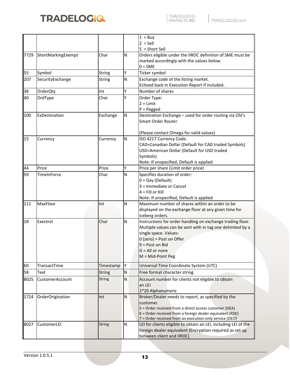

TRADELOGIQ<br>MARKETS INC

TRADELOGIQ.com

|      |                    |               |   | $1 = Buy$<br>$2 =$ Sell                                                                                                                                                                                                                           |
|------|--------------------|---------------|---|---------------------------------------------------------------------------------------------------------------------------------------------------------------------------------------------------------------------------------------------------|
| 7729 | ShortMarkingExempt | Char          | N | $5 = Short Sell$<br>Orders eligible under the IIROC definition of SME must be<br>marked accordingly with the values below.<br>$0 = SME$                                                                                                           |
| 55   | Symbol             | String        | Υ | Ticker symbol                                                                                                                                                                                                                                     |
| 207  | SecurityExchange   | <b>String</b> | Ν | Exchange code of the listing market.<br>Echoed back in Execution Report if included.                                                                                                                                                              |
| 38   | OrderQty           | Int           | Υ | Number of shares                                                                                                                                                                                                                                  |
| 40   | OrdType            | Char          | Y | Order Type:<br>$2 = Limit$<br>$P = Pegged$                                                                                                                                                                                                        |
| 100  | ExDestination      | Exchange      | N | Destination Exchange - used for order routing via OSI's<br>Smart Order Router                                                                                                                                                                     |
|      |                    |               |   | (Please contact Omega for valid values)                                                                                                                                                                                                           |
| 15   | Currency           | Currency      | Ν | ISO 4217 Currency Code:<br>CAD=Canadian Dollar (Default for CAD traded Symbols)<br>USD=American Dollar (Default for USD traded<br>Symbols)<br>Note: If unspecified, Default is applied                                                            |
| 44   | Price              | Price         | Υ | Price per share (Limit order price)                                                                                                                                                                                                               |
| 59   | TimeInForce        | Char          | N | Specifies duration of order:<br>$0 = Day (Default)$<br>3 = Immediate or Cancel<br>$4 =$ Fill or Kill<br>Note: If unspecified, Default is applied                                                                                                  |
| 111  | MaxFloor           | Int           | N | Maximum number of shares within an order to be<br>displayed on the exchange floor at any given time for<br>iceberg orders.                                                                                                                        |
| 18   | ExecInst           | Char          | N | Instructions for order handling on exchange trading floor.<br>Multiple values can be sent with in tag one delimited by a<br>single space. Values:<br>$0$ (zero) = Post on Offer<br>$9$ = Post on Bid<br>$G = All or none$<br>M = Mid-Point Peg    |
| 60   | TransactTime       | Timestamp     | Y | Universal Time Coordinate System (UTC)                                                                                                                                                                                                            |
| 58   | Text               | <b>String</b> | Ν | Free format character string                                                                                                                                                                                                                      |
| 8025 | CustomerAccount    | <b>String</b> | N | Account number for clients not eligible to obtain<br>an LEI<br>2*20 Alphanumeric                                                                                                                                                                  |
| 1724 | OrderOrigination   | Int           | Ν | Broker/Dealer needs to report, as specified by the<br>customer.<br>5 = Order received from a direct access customer (DEA)<br>6 = Order received from a foreign dealer equivalent (FDE)<br>7 = Order received from an execution-only service (OEO) |
| 8027 | CustomerLEI        | <b>String</b> | N | LEI for clients eligible to obtain an LEI, including LEI of the<br>foreign dealer equivalent (Encryption required as set up<br>between client and IIROC)                                                                                          |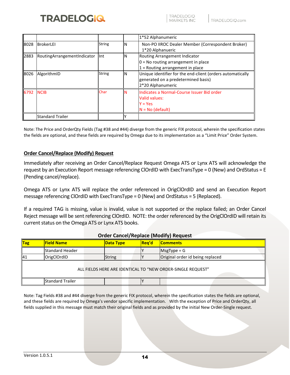

|      |                             |               |   | 1*52 Alphanumeric                                                                                                      |
|------|-----------------------------|---------------|---|------------------------------------------------------------------------------------------------------------------------|
| 8028 | <b>BrokerLEI</b>            | <b>String</b> | N | Non-PO IIROC Dealer Member (Correspondent Broker)<br>1*20 Alphanueric                                                  |
| 2883 | RoutingArrangementIndicator | llnt.         | N | Routing Arrangement Indicator<br>$ 0 $ = No routing arrangement in place<br>$1$ = Routing arrangement in place         |
| 8026 | AlgorithmID                 | <b>String</b> | N | Unique identifier for the end-client (orders automatically<br>generated on a predetermined basis)<br>2*20 Alphanumeric |
| 6792 | <b>NCIB</b>                 | Char          | N | Indicates a Normal-Course Issuer Bid order<br>Valid values:<br>$Y = Yes$<br>$N = No$ (default)                         |
|      | <b>Standard Trailer</b>     |               |   |                                                                                                                        |

Note: The Price and OrderQty Fields (Tag #38 and #44) diverge from the generic FIX protocol, wherein the specification states the fields are optional, and these fields are required by Omega due to its implementation as a "Limit Price" Order System.

#### <span id="page-14-0"></span>**Order Cancel/Replace (Modify) Request**

Immediately after receiving an Order Cancel/Replace Request Omega ATS or Lynx ATS will acknowledge the request by an Execution Report message referencing ClOrdID with ExecTransType = 0 (New) and OrdStatus = E (Pending cancel/replace).

Omega ATS or Lynx ATS will replace the order referenced in OrigClOrdID and send an Execution Report message referencing ClOrdID with ExecTransType = 0 (New) and OrdStatus = 5 (Replaced).

If a required TAG is missing, value is invalid, value is not supported or the replace failed; an Order Cancel Reject message will be sent referencing ClOrdID. NOTE: the order referenced by the OrigClOrdID will retain its current status on the Omega ATS or Lynx ATS books.

| <b>Tag</b>                                                  | <b>Field Name</b>       | Data Type     | Reg'd | <b>Comments</b>                  |  |  |  |
|-------------------------------------------------------------|-------------------------|---------------|-------|----------------------------------|--|--|--|
|                                                             | Standard Header         |               |       | $MsgType = G$                    |  |  |  |
| 41                                                          | OrigClOrdID             | <b>String</b> |       | Original order id being replaced |  |  |  |
| ALL FIELDS HERE ARE IDENTICAL TO "NEW ORDER-SINGLE REQUEST" |                         |               |       |                                  |  |  |  |
|                                                             | <b>Standard Trailer</b> |               |       |                                  |  |  |  |

#### **Order Cancel/Replace (Modify) Request**

Note: Tag Fields #38 and #44 diverge from the generic FIX protocol, wherein the specification states the fields are optional, and these fields are required by Omega's vendor specific implementation. With the exception of Price and OrderQty, all fields supplied in this message must match their original fields and as provided by the initial New Order-Single request.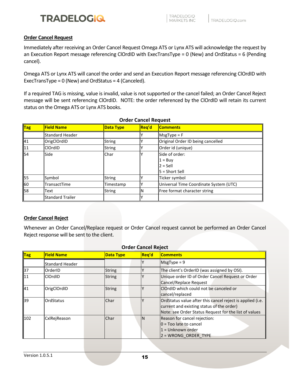

#### <span id="page-15-0"></span>**Order Cancel Request**

Immediately after receiving an Order Cancel Request Omega ATS or Lynx ATS will acknowledge the request by an Execution Report message referencing ClOrdID with ExecTransType = 0 (New) and OrdStatus = 6 (Pending cancel).

Omega ATS or Lynx ATS will cancel the order and send an Execution Report message referencing ClOrdID with ExecTransType = 0 (New) and OrdStatus = 4 (Canceled).

If a required TAG is missing, value is invalid, value is not supported or the cancel failed; an Order Cancel Reject message will be sent referencing ClOrdID. NOTE: the order referenced by the ClOrdID will retain its current status on the Omega ATS or Lynx ATS books.

| $\overline{\phantom{a}}$ Tag | <b>Field Name</b>       | <b>Data Type</b> | Reg'd | <b>Comments</b>                        |  |  |  |
|------------------------------|-------------------------|------------------|-------|----------------------------------------|--|--|--|
|                              | <b>Standard Header</b>  |                  |       | $MsgType = F$                          |  |  |  |
| 41                           | OrigClOrdID             | <b>String</b>    |       | Original Order ID being cancelled      |  |  |  |
| 11                           | <b>ClOrdID</b>          | <b>String</b>    |       | Order id (unique)                      |  |  |  |
| 54                           | Side                    | Char             |       | Side of order:                         |  |  |  |
|                              |                         |                  |       | $1 = Buv$                              |  |  |  |
|                              |                         |                  |       | $2 =$ Sell                             |  |  |  |
|                              |                         |                  |       | $5 =$ Short Sell                       |  |  |  |
| 55                           | Symbol                  | <b>String</b>    |       | Ticker symbol                          |  |  |  |
| 60                           | TransactTime            | Timestamp        |       | Universal Time Coordinate System (UTC) |  |  |  |
| 58                           | Text                    | <b>String</b>    | N     | Free format character string           |  |  |  |
|                              | <b>Standard Trailer</b> |                  |       |                                        |  |  |  |

#### **Order Cancel Request**

#### <span id="page-15-1"></span>**Order Cancel Reject**

Whenever an Order Cancel/Replace request or Order Cancel request cannot be performed an Order Cancel Reject response will be sent to the client.

|             | Order Cancel Reject    |                  |       |                                                                                                                                                                 |  |  |  |
|-------------|------------------------|------------------|-------|-----------------------------------------------------------------------------------------------------------------------------------------------------------------|--|--|--|
| $\vert$ Tag | <b>Field Name</b>      | <b>Data Type</b> | Req'd | <b>Comments</b>                                                                                                                                                 |  |  |  |
|             | <b>Standard Header</b> |                  |       | $MsgType = 9$                                                                                                                                                   |  |  |  |
| 37          | OrderID                | <b>String</b>    |       | The client's OrderID (was assigned by OSI).                                                                                                                     |  |  |  |
| 11          | <b>ClOrdID</b>         | <b>String</b>    |       | Unique order ID of Order Cancel Request or Order<br>Cancel/Replace Request                                                                                      |  |  |  |
| 41          | OrigClOrdID            | <b>String</b>    |       | <b>COrdID</b> which could not be canceled or<br>cancel/replaced                                                                                                 |  |  |  |
| 39          | <b>OrdStatus</b>       | Char             |       | OrdStatus value after this cancel reject is applied (i.e.<br>current and existing status of the order)<br>Note: see Order Status Request for the list of values |  |  |  |
| 102         | CxlRejReason           | Char             | IN    | Reason for cancel rejection:<br>$ 0 =$ Too late to cancel<br>1 = Unknown order<br>2 = WRONG ORDER TYPE                                                          |  |  |  |

### **Order Cancel Reject**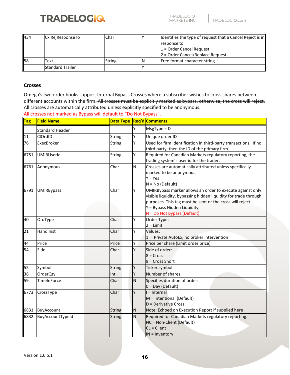

TRADELOGIQ **MARKETS INC** 

| 434 | CxlRejResponseTo        | Char          | Identifies the type of request that a Cancel Reject is in |
|-----|-------------------------|---------------|-----------------------------------------------------------|
|     |                         |               | response to                                               |
|     |                         |               | $1 =$ Order Cancel Request                                |
|     |                         |               | $2$ = Order Cancel/Replace Request                        |
| 158 | Text                    | <b>String</b> | Free format character string                              |
|     | <b>Standard Trailer</b> |               |                                                           |

#### <span id="page-16-0"></span>**Crosses**

Omega's two order books support Internal Bypass Crosses where a subscriber wishes to cross shares between different accounts within the firm. All crosses must be explicitly marked as bypass, otherwise, the cross will reject. All crosses are automatically attributed unless explicitly specified to be anonymous.

| $\overline{\mathsf{Tag}}$ | <b>Field Name</b>      |               |              | Data Type   Req'd   Comments                                                                                                 |
|---------------------------|------------------------|---------------|--------------|------------------------------------------------------------------------------------------------------------------------------|
|                           | <b>Standard Header</b> |               | Y            | $MsgType = D$                                                                                                                |
| 11                        | ClOrdID                | String        | Υ            | Unique order ID                                                                                                              |
| 76                        | ExecBroker             | <b>String</b> | Υ            | Used for firm identification in third-party transactions. If no                                                              |
|                           |                        |               |              | third party, then the ID of the primary firm.                                                                                |
| 6751                      | <b>UMIRUserId</b>      | String        | Υ            | Required for Canadian Markets regulatory reporting, the                                                                      |
|                           |                        |               |              | trading system's user id for the trader.                                                                                     |
| 6761                      | Anonymous              | Char          | N            | Crosses are automatically attributed unless specifically                                                                     |
|                           |                        |               |              | marked to be anonymous.                                                                                                      |
|                           |                        |               |              | $Y = Yes$                                                                                                                    |
|                           |                        |               |              | $N = No (Default)$                                                                                                           |
| 6791                      | <b>UMIRBypass</b>      | Char          | Υ            | UMIRBypass marker allows an order to execute against only                                                                    |
|                           |                        |               |              | visible liquidity, bypassing hidden liquidity for trade through<br>purposes. This tag must be sent or the cross will reject. |
|                           |                        |               |              | Y = Bypass Hidden Liquidity                                                                                                  |
|                           |                        |               |              | N = Do Not Bypass (Default)                                                                                                  |
| 40                        | OrdType                | Char          | Y            | Order Type:                                                                                                                  |
|                           |                        |               |              | $2 = Limit$                                                                                                                  |
| 21                        | HandlInst              | Char          | Y            | Values:                                                                                                                      |
|                           |                        |               |              | $1$ = Private AutoEx, no broker intervention                                                                                 |
| 44                        | Price                  | Price         | Y            | Price per share (Limit order price)                                                                                          |
| 54                        | Side                   | Char          | Y            | Side of order:                                                                                                               |
|                           |                        |               |              | $8 = Cross$                                                                                                                  |
|                           |                        |               |              | $9 = Cross Short$                                                                                                            |
| 55                        | Symbol                 | String        | Υ            | Ticker symbol                                                                                                                |
| 38                        | OrderQty               | Int           | Υ            | Number of shares                                                                                                             |
| 59                        | TimeInForce            | Char          | ${\sf N}$    | Specifies duration of order:                                                                                                 |
|                           |                        |               |              | $0 = Day (Default)$                                                                                                          |
| 6773                      | CrossType              | Char          | Y            | $I = Internal$                                                                                                               |
|                           |                        |               |              | M = Intentional (Default)                                                                                                    |
|                           |                        |               |              | D = Derivative Cross                                                                                                         |
| 6831                      | BuyAccount             | <b>String</b> | $\mathsf{N}$ | Note: Echoed on Execution Report if supplied here                                                                            |
| 6832                      | BuyAccountTypeId       | <b>String</b> | N            | Required for Canadian Markets regulatory reporting.                                                                          |
|                           |                        |               |              | NC = Non-Client (Default)<br>$CL = Client$                                                                                   |
|                           |                        |               |              |                                                                                                                              |
|                           |                        |               |              | $IN = Inventory$                                                                                                             |

All crosses not marked as Bypass will default to "Do Not Bypass".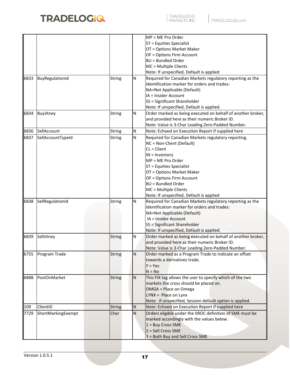

|      |                    |               |           | $MP = ME$ Pro Order                                         |
|------|--------------------|---------------|-----------|-------------------------------------------------------------|
|      |                    |               |           | ST = Equities Specialist                                    |
|      |                    |               |           | OT = Options Market Maker                                   |
|      |                    |               |           | OF = Options Firm Account                                   |
|      |                    |               |           | <b>BU = Bundled Order</b>                                   |
|      |                    |               |           | MC = Multiple Clients                                       |
|      |                    |               |           | Note: If unspecified, Default is applied                    |
| 6833 | BuyRegulationId    | String        | ${\sf N}$ | Required for Canadian Markets regulatory reporting as the   |
|      |                    |               |           | Identification marker for orders and trades:                |
|      |                    |               |           | NA=Not Applicable (Default)                                 |
|      |                    |               |           | IA = Insider Account                                        |
|      |                    |               |           | SS = Significant Shareholder                                |
|      |                    |               |           | Note: If unspecified, Default is applied.                   |
| 6834 | BuyJitney          | String        | N         | Order marked as being executed on behalf of another broker, |
|      |                    |               |           | and provided here as their numeric Broker ID.               |
|      |                    |               |           | Note: Value is 3-Char Leading Zero-Padded Number.           |
| 6836 | SellAccount        | String        | N         | Note: Echoed on Execution Report if supplied here           |
| 6837 | SellAccountTypeId  | String        | ${\sf N}$ | Required for Canadian Markets regulatory reporting.         |
|      |                    |               |           | NC = Non-Client (Default)                                   |
|      |                    |               |           | $CL = Client$                                               |
|      |                    |               |           | IN = Inventory                                              |
|      |                    |               |           | MP = ME Pro Order                                           |
|      |                    |               |           | ST = Equities Specialist                                    |
|      |                    |               |           | OT = Options Market Maker                                   |
|      |                    |               |           | OF = Options Firm Account                                   |
|      |                    |               |           | <b>BU = Bundled Order</b>                                   |
|      |                    |               |           | MC = Multiple Clients                                       |
|      |                    |               |           | Note: If unspecified, Default is applied                    |
| 6838 | SellRegulationId   | String        | N         | Required for Canadian Markets regulatory reporting as the   |
|      |                    |               |           | Identification marker for orders and trades:                |
|      |                    |               |           | NA=Not Applicable (Default)                                 |
|      |                    |               |           | IA = Insider Account                                        |
|      |                    |               |           | SS = Significant Shareholder                                |
|      |                    |               |           | Note: If unspecified, Default is applied.                   |
| 6839 | SellJitney         | <b>String</b> | N         | Order marked as being executed on behalf of another broker, |
|      |                    |               |           | and provided here as their numeric Broker ID.               |
|      |                    |               |           | Note: Value is 3-Char Leading Zero-Padded Number.           |
| 6755 | Program Trade      | String        | N         | Order marked as a Program Trade to indicate an offset       |
|      |                    |               |           | towards a derivatives trade.                                |
|      |                    |               |           | $Y = Yes$                                                   |
|      |                    |               |           | $N = No$                                                    |
| 6888 | PostOnMarket       | <b>String</b> | N         | This FIX tag allows the user to specify which of the two    |
|      |                    |               |           | markets the cross should be placed on.                      |
|      |                    |               |           | OMGA = Place on Omega                                       |
|      |                    |               |           | $LYNX = Place on Lynx$                                      |
|      |                    |               |           | Note: If unspecified, Session default option is applied.    |
| 109  | ClientID           | <b>String</b> | ${\sf N}$ | Note: Echoed on Execution Report if supplied here           |
| 7729 | ShortMarkingExempt | Char          | ${\sf N}$ | Orders eligible under the IIROC definition of SME must be   |
|      |                    |               |           | marked accordingly with the values below.                   |
|      |                    |               |           | $1 =$ Buy Cross SME                                         |
|      |                    |               |           | 2 = Sell Cross SME                                          |
|      |                    |               |           | 3 = Both Buy and Sell Cross SME                             |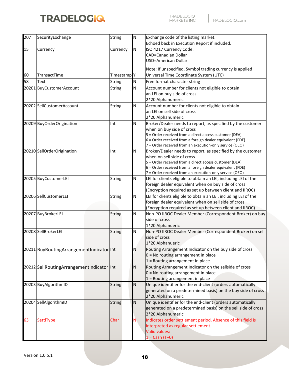

| 207 | SecurityExchange                          | <b>String</b>          | ${\sf N}$ | Exchange code of the listing market.                                                                                 |
|-----|-------------------------------------------|------------------------|-----------|----------------------------------------------------------------------------------------------------------------------|
|     |                                           |                        |           | Echoed back in Execution Report if included.                                                                         |
| 15  | Currency                                  | Currency               | ${\sf N}$ | ISO 4217 Currency Code:                                                                                              |
|     |                                           |                        |           | CAD=Canadian Dollar                                                                                                  |
|     |                                           |                        |           | USD=American Dollar                                                                                                  |
|     |                                           |                        |           | Note: If unspecified, Symbol trading currency is applied                                                             |
| 60  | TransactTime                              | Timestamp <sup>Y</sup> |           | Universal Time Coordinate System (UTC)                                                                               |
| 58  | Text                                      | <b>String</b>          | N         | Free format character string                                                                                         |
|     | 20201 BuyCustomerAccount                  | <b>String</b>          | ${\sf N}$ | Account number for clients not eligible to obtain                                                                    |
|     |                                           |                        |           | an LEI on buy side of cross                                                                                          |
|     |                                           |                        |           | 2*20 Alphanumeric                                                                                                    |
|     | 20202 SellCustomerAccount                 | <b>String</b>          | N         | Account number for clients not eligible to obtain                                                                    |
|     |                                           |                        |           | an LEI on sell side of cross                                                                                         |
|     |                                           |                        |           | 2*20 Alphanumeric                                                                                                    |
|     |                                           |                        |           |                                                                                                                      |
|     | 20209 BuyOrderOrigination                 | Int                    | N         | Broker/Dealer needs to report, as specified by the customer                                                          |
|     |                                           |                        |           | when on buy side of cross                                                                                            |
|     |                                           |                        |           | 5 = Order received from a direct access customer (DEA)                                                               |
|     |                                           |                        |           | 6 = Order received from a foreign dealer equivalent (FDE)<br>7 = Order received from an execution-only service (OEO) |
|     |                                           |                        |           |                                                                                                                      |
|     | 20210 SellOrderOrigination                | Int                    | N         | Broker/Dealer needs to report, as specified by the customer                                                          |
|     |                                           |                        |           | when on sell side of cross                                                                                           |
|     |                                           |                        |           | 5 = Order received from a direct access customer (DEA)                                                               |
|     |                                           |                        |           | 6 = Order received from a foreign dealer equivalent (FDE)<br>7 = Order received from an execution-only service (OEO) |
|     | 20205 BuyCustomerLEI                      | String                 | N         | LEI for clients eligible to obtain an LEI, including LEI of the                                                      |
|     |                                           |                        |           |                                                                                                                      |
|     |                                           |                        |           | foreign dealer equivalent when on buy side of cross                                                                  |
|     |                                           |                        |           | (Encryption required as set up between client and IIROC)                                                             |
|     | 20206 SellCustomerLEI                     | <b>String</b>          | ${\sf N}$ | LEI for clients eligible to obtain an LEI, including LEI of the                                                      |
|     |                                           |                        |           | foreign dealer equivalent when on sell side of cross                                                                 |
|     |                                           |                        |           | (Encryption required as set up between client and IIROC)                                                             |
|     | 20207 BuyBrokerLEI                        | <b>String</b>          | N         | Non-PO IIROC Dealer Member (Correspondent Broker) on buy                                                             |
|     |                                           |                        |           | side of cross                                                                                                        |
|     |                                           |                        |           | 1*20 Alphanueric                                                                                                     |
|     | 20208 SellBrokerLEI                       | <b>String</b>          | N         | Non-PO IIROC Dealer Member (Correspondent Broker) on sell                                                            |
|     |                                           |                        |           | side of cross                                                                                                        |
|     |                                           |                        |           | 1*20 Alphanueric                                                                                                     |
|     | 20211 BuyRoutingArrangementIndicator Int  |                        | N         | Routing Arrangement Indicator on the buy side of cross                                                               |
|     |                                           |                        |           | $0 = No$ routing arrangement in place                                                                                |
|     |                                           |                        |           | $1$ = Routing arrangement in place                                                                                   |
|     | 20212 SellRoutingArrangementIndicator Int |                        | ${\sf N}$ | Routing Arrangement Indicator on the sellside of cross                                                               |
|     |                                           |                        |           | $0 = No$ routing arrangement in place                                                                                |
|     |                                           |                        |           | $1$ = Routing arrangement in place                                                                                   |
|     | 20203 BuyAlgorithmID                      | <b>String</b>          | N         | Unique identifier for the end-client (orders automatically                                                           |
|     |                                           |                        |           | generated on a predetermined basis) on the buy side of cross                                                         |
|     |                                           |                        |           | 2*20 Alphanumeric                                                                                                    |
|     | 20204 SellAlgorithmID                     | <b>String</b>          | ${\sf N}$ | Unique identifier for the end-client (orders automatically                                                           |
|     |                                           |                        |           | generated on a predetermined basis) on the sell side of cross                                                        |
|     |                                           |                        |           | 2*20 Alphanumeric                                                                                                    |
|     |                                           |                        |           |                                                                                                                      |
| 63  | SettlType                                 | Char                   | N         | Indicates order settlement period. Absence of this field is                                                          |
|     |                                           |                        |           | interpreted as regular settlement.                                                                                   |
|     |                                           |                        |           | Valid values:                                                                                                        |
|     |                                           |                        |           | $1 = Cash (T+0)$                                                                                                     |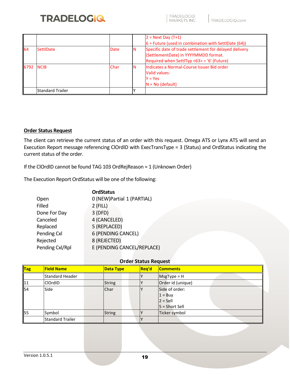

**TRADELOGIQ MARKETS INC** 

|      |                         |      |   | $2 = Next$ Day $(T+1)$<br>$6$ = Future (used in combination with SettlDate (64))                                                             |
|------|-------------------------|------|---|----------------------------------------------------------------------------------------------------------------------------------------------|
| 64   | <b>SettlDate</b>        | Date | N | Specific date of trade settlement for delayed delivery<br>(SettlementDate) in YYYYMMDD format.<br>Required when SettlTyp <63> = '6' (Future) |
| 6792 | <b>NCIB</b>             | Char | N | Indicates a Normal-Course Issuer Bid order<br>Valid values:<br>$Y = Yes$<br>$N = No$ (default)                                               |
|      | <b>Standard Trailer</b> |      |   |                                                                                                                                              |

#### <span id="page-19-0"></span>**Order Status Request**

The client can retrieve the current status of an order with this request. Omega ATS or Lynx ATS will send an Execution Report message referencing ClOrdID with ExecTransType = 3 (Status) and OrdStatus indicating the current status of the order.

If the ClOrdID cannot be found TAG 103 OrdRejReason = 1 (Unknown Order)

The Execution Report OrdStatus will be one of the following:

|                 | <b>OrdStatus</b>            |
|-----------------|-----------------------------|
| Open            | 0 (NEW) Partial 1 (PARTIAL) |
| Filled          | $2$ (FILL)                  |
| Done For Day    | 3(DFD)                      |
| Canceled        | 4 (CANCELED)                |
| Replaced        | 5 (REPLACED)                |
| Pending Cxl     | 6 (PENDING CANCEL)          |
| Rejected        | 8 (REJECTED)                |
| Pending Cxl/Rpl | E (PENDING CANCEL/REPLACE)  |

#### **Order Status Request**

| Tag | <b>Field Name</b>      | Data Type     | Req'd | <b>Comments</b>                                               |
|-----|------------------------|---------------|-------|---------------------------------------------------------------|
|     | <b>Standard Header</b> |               |       | $MsgType = H$                                                 |
| 11  | <b>ClOrdID</b>         | <b>String</b> |       | Order id (unique)                                             |
| 54  | Side                   | Char          |       | Side of order:<br>$1 = Buy$<br>$2 =$ Sell<br>$5 =$ Short Sell |
| 155 | Symbol                 | <b>String</b> |       | Ticker symbol                                                 |
|     | Standard Trailer       |               |       |                                                               |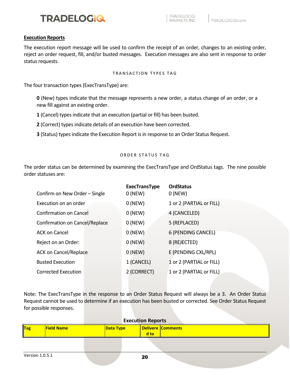# **TRADELOGIA**

#### <span id="page-20-0"></span>**Execution Reports**

The execution report message will be used to confirm the receipt of an order, changes to an existing order, reject an order request, fill, and/or busted messages. Execution messages are also sent in response to order status requests.

#### TRANSACTION TYPES TAG

The four transaction types (ExecTransType) are:

**0** (New) types indicate that the message represents a new order, a status change of an order, or a new fill against an existing order.

**1** (Cancel) types indicate that an execution (partial or fill) has been busted.

**2** (Correct) types indicate details of an execution have been corrected.

**3** (Status) types indicate the Execution Report is in response to an Order Status Request.

#### ORDER STATUS TAG

The order status can be determined by examining the ExecTransType and OrdStatus tags. The nine possible order statuses are:

| Confirm on New Order - Single  | <b>ExecTransType</b><br>$0$ (NEW) | <b>OrdStatus</b><br>$0$ (NEW) |
|--------------------------------|-----------------------------------|-------------------------------|
| Execution on an order          | $0$ (NEW)                         | 1 or 2 (PARTIAL or FILL)      |
| <b>Confirmation on Cancel</b>  | $0$ (NEW)                         | 4 (CANCELED)                  |
| Confirmation on Cancel/Replace | $0$ (NEW)                         | 5 (REPLACED)                  |
| ACK on Cancel                  | O(NEW)                            | 6 (PENDING CANCEL)            |
| Reject on an Order:            | O(NEW)                            | 8 (REJECTED)                  |
| <b>ACK on Cancel/Replace</b>   | $0$ (NEW)                         | E (PENDING CXL/RPL)           |
| <b>Busted Execution</b>        | 1 (CANCEL)                        | 1 or 2 (PARTIAL or FILL)      |
| <b>Corrected Execution</b>     | 2 (CORRECT)                       | 1 or 2 (PARTIAL or FILL)      |

Note: The ExecTransType in the response to an Order Status Request will always be a 3. An Order Status Request cannot be used to determine if an execution has been busted or corrected. See Order Status Request for possible responses.

|            |                   |  | <b>Execution Reports</b> |  |                   |  |
|------------|-------------------|--|--------------------------|--|-------------------|--|
| <b>Tag</b> | <b>Field Name</b> |  | <b>Data Type</b>         |  | Delivere Comments |  |
|            |                   |  |                          |  |                   |  |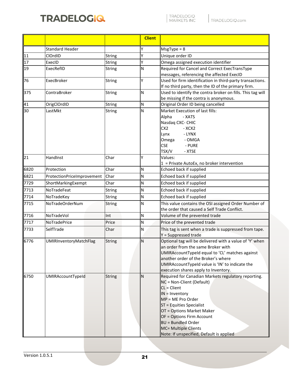TRADELOGIQ<br>MARKETS INC

|      |                            |               | <b>Client</b> |                                                                                                      |  |
|------|----------------------------|---------------|---------------|------------------------------------------------------------------------------------------------------|--|
|      | <b>Standard Header</b>     |               | Υ             | $MsgType = 8$                                                                                        |  |
| 11   | ClOrdID                    | <b>String</b> | Υ             | Unique order ID                                                                                      |  |
| 17   | ExecID                     | <b>String</b> | Y             | Omega assigned execution identifier                                                                  |  |
| 19   | ExecRefID                  | String        | N             | Required for Cancel and Correct ExecTransType                                                        |  |
|      |                            |               |               | messages, referencing the affected ExecID                                                            |  |
| 76   | ExecBroker                 | <b>String</b> | Υ             | Used for firm identification in third-party transactions.                                            |  |
|      |                            |               |               | If no third party, then the ID of the primary firm.                                                  |  |
| 375  | ContraBroker               | <b>String</b> | N             | Used to identify the contra broker on fills. This tag will<br>be missing if the contra is anonymous. |  |
| 41   | OrigClOrdID                | String        | ${\sf N}$     | Original Order ID being cancelled                                                                    |  |
| 30   | LastMkt                    | String        | N             | Market Execution of last fills:                                                                      |  |
|      |                            |               |               | Alpha<br>- XATS                                                                                      |  |
|      |                            |               |               | Nasdaq CXC- CHIC                                                                                     |  |
|      |                            |               |               | CX <sub>2</sub><br>$-XCX2$                                                                           |  |
|      |                            |               |               | - LYNX<br>Lynx                                                                                       |  |
|      |                            |               |               | Omega<br>- OMGA                                                                                      |  |
|      |                            |               |               | <b>CSE</b><br>- PURE<br>TSX/V<br>- XTSE                                                              |  |
| 21   | HandInst                   | Char          | Y             | Values:                                                                                              |  |
|      |                            |               |               | $1 =$ Private AutoEx, no broker intervention                                                         |  |
| 6820 | Protection                 | Char          | N             | Echoed back if supplied                                                                              |  |
| 6821 | ProtectionPriceImprovement | Char          | N             | Echoed back if supplied                                                                              |  |
| 7729 | ShortMarkingExempt         | Char          | $\mathsf{N}$  | Echoed back if supplied                                                                              |  |
| 7713 | NoTradeFeat                | <b>String</b> | ${\sf N}$     | Echoed back if supplied                                                                              |  |
| 7714 | NoTradeKey                 | <b>String</b> | $\mathsf{N}$  | Echoed back if supplied                                                                              |  |
| 7715 | NoTradeOrderNum            | <b>String</b> | ${\sf N}$     | This value contains the OSI assigned Order Number of                                                 |  |
|      |                            |               |               | the order that caused a Self Trade Conflict.                                                         |  |
| 7716 | NoTradeVol                 | Int           | ${\sf N}$     | Volume of the prevented trade                                                                        |  |
| 7717 | NoTradePrice               | Price         | N             | Price of the prevented trade                                                                         |  |
| 7733 | SelfTrade                  | Char          | ${\sf N}$     | This tag is sent when a trade is suppressed from tape.<br>$Y =$ Suppressed trade                     |  |
| 6776 | UMIRInventoryMatchFlag     | <b>String</b> | $\mathsf{N}$  | Optional tag will be delivered with a value of 'Y' when                                              |  |
|      |                            |               |               | an order from the same Broker with                                                                   |  |
|      |                            |               |               | UMIRAccountTypeId equal to 'CL' matches against                                                      |  |
|      |                            |               |               | another order of the Broker's where                                                                  |  |
|      |                            |               |               | UMIRAccountTypeId value is 'IN' to indicate the                                                      |  |
|      |                            |               |               | execution shares apply to Inventory.                                                                 |  |
| 6750 | UMIRAccountTypeId          | <b>String</b> | N             | Required for Canadian Markets regulatory reporting.                                                  |  |
|      |                            |               |               | NC = Non-Client (Default)<br>$CL = Client$                                                           |  |
|      |                            |               |               | $IN = Inventory$                                                                                     |  |
|      |                            |               |               | MP = ME Pro Order                                                                                    |  |
|      |                            |               |               | ST = Equities Specialist                                                                             |  |
|      |                            |               |               | OT = Options Market Maker                                                                            |  |
|      |                            |               |               | OF = Options Firm Account                                                                            |  |
|      |                            |               |               | <b>BU = Bundled Order</b>                                                                            |  |
|      |                            |               |               | MC= Multiple Clients                                                                                 |  |
|      |                            |               |               | Note: If unspecified, Default is applied                                                             |  |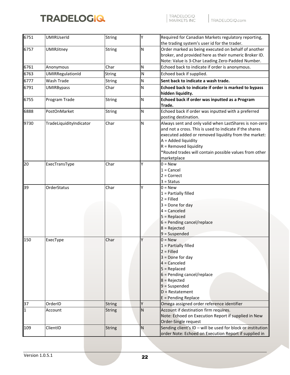

| 6751         | <b>UMIRUserId</b>       | <b>String</b> | Υ         | Required for Canadian Markets regulatory reporting,<br>the trading system's user id for the trader. |
|--------------|-------------------------|---------------|-----------|-----------------------------------------------------------------------------------------------------|
| 6757         | UMIRJitney              | <b>String</b> | N         | Order marked as being executed on behalf of another                                                 |
|              |                         |               |           | broker, and provided here as their numeric Broker ID.                                               |
|              |                         |               |           | Note: Value is 3-Char Leading Zero-Padded Number.                                                   |
| 6761         | Anonymous               | Char          | N         | Echoed back to indicate if order is anonymous.                                                      |
| 6763         | UMIRRegulationId        | <b>String</b> | ${\sf N}$ | Echoed back if supplied.                                                                            |
| 6777         | Wash Trade              | String        | N         | Sent back to indicate a wash trade.                                                                 |
| 6791         | <b>UMIRBypass</b>       | Char          | N         | Echoed back to indicate if order is marked to bypass                                                |
|              |                         |               |           | hidden liquidity.                                                                                   |
| 6755         | Program Trade           | <b>String</b> | N         | Echoed back if order was inputted as a Program<br>Trade.                                            |
| 6888         | PostOnMarket            | String        | N         | Echoed back if order was inputted with a preferred                                                  |
|              |                         |               |           | posting destination.                                                                                |
| 9730         | TradeLiquidityIndicator | Char          | N         | Always sent and only valid when LastShares is non-zero                                              |
|              |                         |               |           | and not a cross. This is used to indicate if the shares                                             |
|              |                         |               |           | executed added or removed liquidity from the market:                                                |
|              |                         |               |           | A = Added liquidity                                                                                 |
|              |                         |               |           | $R =$ Removed liquidity                                                                             |
|              |                         |               |           | *Routed trades will contain possible values from other                                              |
|              |                         |               |           | marketplace                                                                                         |
| 20           | ExecTransType           | Char          | Υ         | $0 = New$                                                                                           |
|              |                         |               |           | $1 =$ Cancel                                                                                        |
|              |                         |               |           | $2 = Correct$                                                                                       |
|              |                         |               |           | $3 = Status$                                                                                        |
| 39           | OrderStatus             | Char          | Y         | $0 = New$                                                                                           |
|              |                         |               |           | $1$ = Partially filled                                                                              |
|              |                         |               |           | $2 =$ Filled                                                                                        |
|              |                         |               |           | $3 =$ Done for day                                                                                  |
|              |                         |               |           | $4 =$ Canceled<br>$5 = Replaced$                                                                    |
|              |                         |               |           | $6$ = Pending cancel/replace                                                                        |
|              |                         |               |           | $8 =$ Rejected                                                                                      |
|              |                         |               |           | $9 =$ Suspended                                                                                     |
| 150          | ExecType                | Char          | Υ         | $0 = New$                                                                                           |
|              |                         |               |           | $1 =$ Partially filled                                                                              |
|              |                         |               |           | $2$ = Filled                                                                                        |
|              |                         |               |           | $3 =$ Done for day                                                                                  |
|              |                         |               |           | $4 =$ Canceled                                                                                      |
|              |                         |               |           | $5 = Replaced$                                                                                      |
|              |                         |               |           | $6$ = Pending cancel/replace                                                                        |
|              |                         |               |           | $8 =$ Rejected                                                                                      |
|              |                         |               |           | $9 =$ Suspended                                                                                     |
|              |                         |               |           | $D =$ Restatement                                                                                   |
|              |                         |               |           | $E =$ Pending Replace                                                                               |
| 37           | OrderID                 | <b>String</b> | Y         | Omega assigned order reference identifier                                                           |
| $\mathbf{1}$ | Account                 | <b>String</b> | N         | Account if destination firm requires.                                                               |
|              |                         |               |           | Note: Echoed on Execution Report if supplied in New                                                 |
|              |                         |               |           | Order-Single request                                                                                |
| 109          | ClientID                | <b>String</b> | N         | Sending client's ID - will be used for block or institution                                         |
|              |                         |               |           | order Note: Echoed on Execution Report if supplied in                                               |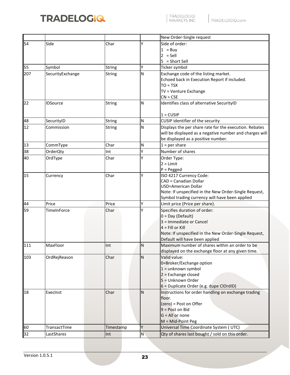

|     |                  |               |              | New Order-Single request                                |
|-----|------------------|---------------|--------------|---------------------------------------------------------|
| 54  | Side             | Char          | Υ            | Side of order:                                          |
|     |                  |               |              | $1 = Buy$                                               |
|     |                  |               |              | $2 =$ Sell                                              |
|     |                  |               |              | 5 = Short Sell                                          |
| 55  | Symbol           | <b>String</b> | Υ            | Ticker symbol                                           |
| 207 | SecurityExchange | <b>String</b> | N            | Exchange code of the listing market.                    |
|     |                  |               |              | Echoed back in Execution Report if included.            |
|     |                  |               |              | $TO = TSX$                                              |
|     |                  |               |              | TV = Venture Exchange                                   |
|     |                  |               |              | $CN = CSE$                                              |
| 22  | <b>IDSource</b>  | <b>String</b> | N            | Identifies class of alternative SecurityID              |
|     |                  |               |              |                                                         |
|     |                  |               |              | $1 = CUSIP$                                             |
| 48  | SecurityID       | String        | N            | CUSIP identifier of the security                        |
| 12  | Commission       | <b>String</b> | N            | Displays the per share rate for the execution. Rebates  |
|     |                  |               |              | will be displayed as a negative number and charges will |
|     |                  |               |              | be displayed as a positive number.                      |
| 13  | CommType         | Char          | N            | $1 = per share$                                         |
| 38  | OrderQty         | Int           | Υ            | Number of shares                                        |
| 40  | OrdType          | Char          | Υ            | Order Type:                                             |
|     |                  |               |              | $2 = Limit$                                             |
|     |                  |               |              | $P = Pegged$                                            |
| 15  | Currency         | Char          | Υ            | ISO 4217 Currency Code:                                 |
|     |                  |               |              | CAD = Canadian Dollar                                   |
|     |                  |               |              | USD=American Dollar                                     |
|     |                  |               |              | Note: If unspecified in the New Order-Single Request,   |
|     |                  |               |              | Symbol trading currency will have been applied          |
| 44  | Price            | Price         | Υ            | Limit price (Price per share).                          |
| 59  | TimeInForce      | Char          | Y            | Specifies duration of order:                            |
|     |                  |               |              | $0 = Day (Default)$                                     |
|     |                  |               |              | 3 = Immediate or Cancel                                 |
|     |                  |               |              | $4 =$ Fill or Kill                                      |
|     |                  |               |              | Note: If unspecified in the New Order-Single Request,   |
|     |                  |               |              | Default will have been applied                          |
| 111 | MaxFloor         | Int           | <b>N</b>     | Maximum number of shares within an order to be          |
|     |                  |               |              | displayed on the exchange floor at any given time.      |
| 103 | OrdRejReason     | Char          | N            | Valid value:                                            |
|     |                  |               |              | 0=Broker/Exchange option                                |
|     |                  |               |              | $1 =$ unknown symbol<br>$2$ = Exchange closed           |
|     |                  |               |              | 5 = Unknown Order                                       |
|     |                  |               |              | 6 = Duplicate Order (e.g. dupe ClOrdID)                 |
| 18  | ExecInst         | Char          | $\mathsf{N}$ | Instructions for order handling on exchange trading     |
|     |                  |               |              | floor.                                                  |
|     |                  |               |              | (zero) = Post on Offer                                  |
|     |                  |               |              | $9 = Post$ on Bid                                       |
|     |                  |               |              | $G = All or none$                                       |
|     |                  |               |              | M = Mid-Point Peg                                       |
| 60  | TransactTime     | Timestamp     | Y            | Universal Time Coordinate System (UTC)                  |
| 32  | LastShares       | Int           | N            | Qty of shares last bought / sold on this order.         |
|     |                  |               |              |                                                         |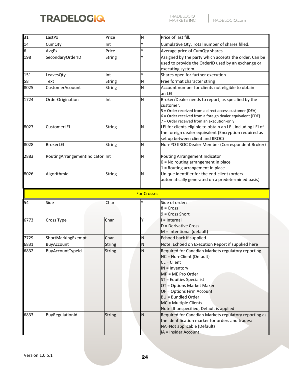TRADELOGIQ<br>MARKETS INC

| 31   | LastPx                          | Price         | N                       | Price of last fill.                                                                                                                                                                                                                                                                                                                |
|------|---------------------------------|---------------|-------------------------|------------------------------------------------------------------------------------------------------------------------------------------------------------------------------------------------------------------------------------------------------------------------------------------------------------------------------------|
| 14   | CumQty                          | Int           | Υ                       | Cumulative Qty. Total number of shares filled.                                                                                                                                                                                                                                                                                     |
| 6    | AvgPx                           | Price         | Υ                       | Average price of CumQty shares                                                                                                                                                                                                                                                                                                     |
| 198  | SecondaryOrderID                | <b>String</b> | Y                       | Assigned by the party which accepts the order. Can be<br>used to provide the OrderID used by an exchange or                                                                                                                                                                                                                        |
|      |                                 |               |                         | executing system.                                                                                                                                                                                                                                                                                                                  |
| 151  | LeavesQty                       | Int           | Υ                       | Shares open for further execution                                                                                                                                                                                                                                                                                                  |
| 58   | Text                            | String        | N                       | Free format character string                                                                                                                                                                                                                                                                                                       |
| 8025 | CustomerAcoount                 | String        | N                       | Account number for clients not eligible to obtain<br>an LEI                                                                                                                                                                                                                                                                        |
| 1724 | OrderOrigination                | Int           | N                       | Broker/Dealer needs to report, as specified by the<br>customer.<br>5 = Order received from a direct access customer (DEA)<br>6 = Order received from a foreign dealer equivalent (FDE)<br>7 = Order received from an execution-only                                                                                                |
| 8027 | CustomerLEI                     | String        | N                       | LEI for clients eligible to obtain an LEI, including LEI of<br>the foreign dealer equivalent (Encryption required as<br>set up between client and IIROC)                                                                                                                                                                           |
| 8028 | <b>BrokerLEI</b>                | String        | N                       | Non-PO IIROC Dealer Member (Correspondent Broker)                                                                                                                                                                                                                                                                                  |
| 2883 | RoutingArrangementIndicator Int |               | N                       | Routing Arrangement Indicator<br>0 = No routing arrangement in place<br>1 = Routing arrangement in place                                                                                                                                                                                                                           |
| 8026 | AlgorithmId                     | String        | N                       | Unique identifier for the end-client (orders<br>automatically generated on a predetermined basis)                                                                                                                                                                                                                                  |
|      |                                 |               | <b>For Crosses</b>      |                                                                                                                                                                                                                                                                                                                                    |
| 54   | Side                            | Char          | Y                       | Side of order:<br>$8 = Cross$<br>9 = Cross Short                                                                                                                                                                                                                                                                                   |
| 6773 | Cross Type                      | Char          | Υ                       | $I = Internal$<br>D = Derivative Cross<br>M = Intentional (default)                                                                                                                                                                                                                                                                |
| 7729 | ShortMarkingExempt              | Char          | N                       | Echoed back if supplied                                                                                                                                                                                                                                                                                                            |
| 6831 | BuyAccount                      | String        | $\mathsf{N}$            | Note: Echoed on Execution Report if supplied here                                                                                                                                                                                                                                                                                  |
| 6832 | BuyAccountTypeId                | <b>String</b> | $\overline{\mathsf{N}}$ | Required for Canadian Markets regulatory reporting.<br>NC = Non-Client (Default)<br>$CL = Client$<br>$IN =$ Inventory<br>MP = ME Pro Order<br>ST = Equities Specialist<br>OT = Options Market Maker<br>OF = Options Firm Account<br><b>BU</b> = Bundled Order<br>MC = Multiple Clients<br>Note: If unspecified, Default is applied |
| 6833 | BuyRegulationId                 | <b>String</b> | $\mathsf{N}$            | Required for Canadian Markets regulatory reporting as<br>the Identification marker for orders and trades:<br>NA=Not applicable (Default)<br>IA = Insider Account                                                                                                                                                                   |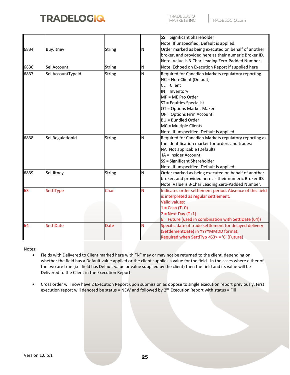

|      |                   |               |              | SS = Significant Shareholder                                                                                                                                                                                                                                                              |
|------|-------------------|---------------|--------------|-------------------------------------------------------------------------------------------------------------------------------------------------------------------------------------------------------------------------------------------------------------------------------------------|
| 6834 | BuyJitney         | <b>String</b> | $\mathsf{N}$ | Note: If unspecified, Default is applied.<br>Order marked as being executed on behalf of another<br>broker, and provided here as their numeric Broker ID.                                                                                                                                 |
|      |                   |               |              | Note: Value is 3-Char Leading Zero-Padded Number.                                                                                                                                                                                                                                         |
| 6836 | SellAccount       | <b>String</b> | $\mathsf{N}$ | Note: Echoed on Execution Report if supplied here                                                                                                                                                                                                                                         |
| 6837 | SellAccountTypeId | <b>String</b> | N            | Required for Canadian Markets regulatory reporting.<br>NC = Non-Client (Default)<br>$CL = Client$<br>$IN = Inventory$<br>MP = ME Pro Order<br>ST = Equities Specialist<br>OT = Options Market Maker<br>OF = Options Firm Account<br><b>BU = Bundled Order</b>                             |
|      |                   |               |              | MC = Multiple Clients                                                                                                                                                                                                                                                                     |
| 6838 | SellRegulationId  | <b>String</b> | N            | Note: If unspecified, Default is applied<br>Required for Canadian Markets regulatory reporting as<br>the Identification marker for orders and trades:<br>NA=Not applicable (Default)<br>IA = Insider Account<br>SS = Significant Shareholder<br>Note: If unspecified, Default is applied. |
| 6839 | SellJitney        | <b>String</b> | N            | Order marked as being executed on behalf of another<br>broker, and provided here as their numeric Broker ID.<br>Note: Value is 3-Char Leading Zero-Padded Number.                                                                                                                         |
| 63   | SettlType         | Char          | Ñ            | Indicates order settlement period. Absence of this field<br>is interpreted as regular settlement.<br><b>Valid values:</b><br>$1 = Cash (T+0)$<br>$2 = Next Day (T+1)$<br>6 = Future (used in combination with SettlDate (64))                                                             |
| 64   | SettlDate         | <b>Date</b>   | N            | Specific date of trade settlement for delayed delivery<br>(SettlementDate) in YYYYMMDD format.<br>Required when SettlTyp <63> = '6' (Future)                                                                                                                                              |

#### Notes:

- Fields with Delivered to Client marked here with "N" may or may not be returned to the client, depending on whether the field has a Default value applied or the client supplies a value for the field. In the cases where either of the two are true (i.e. field has Default value or value supplied by the client) then the field and its value will be Delivered to the Client in the Execution Report.
- <span id="page-25-0"></span>• Cross order will now have 2 Execution Report upon submission as oppose to single execution report previously. First execution report will denoted be status = NEW and followed by 2<sup>nd</sup> Execution Report with status = Fill